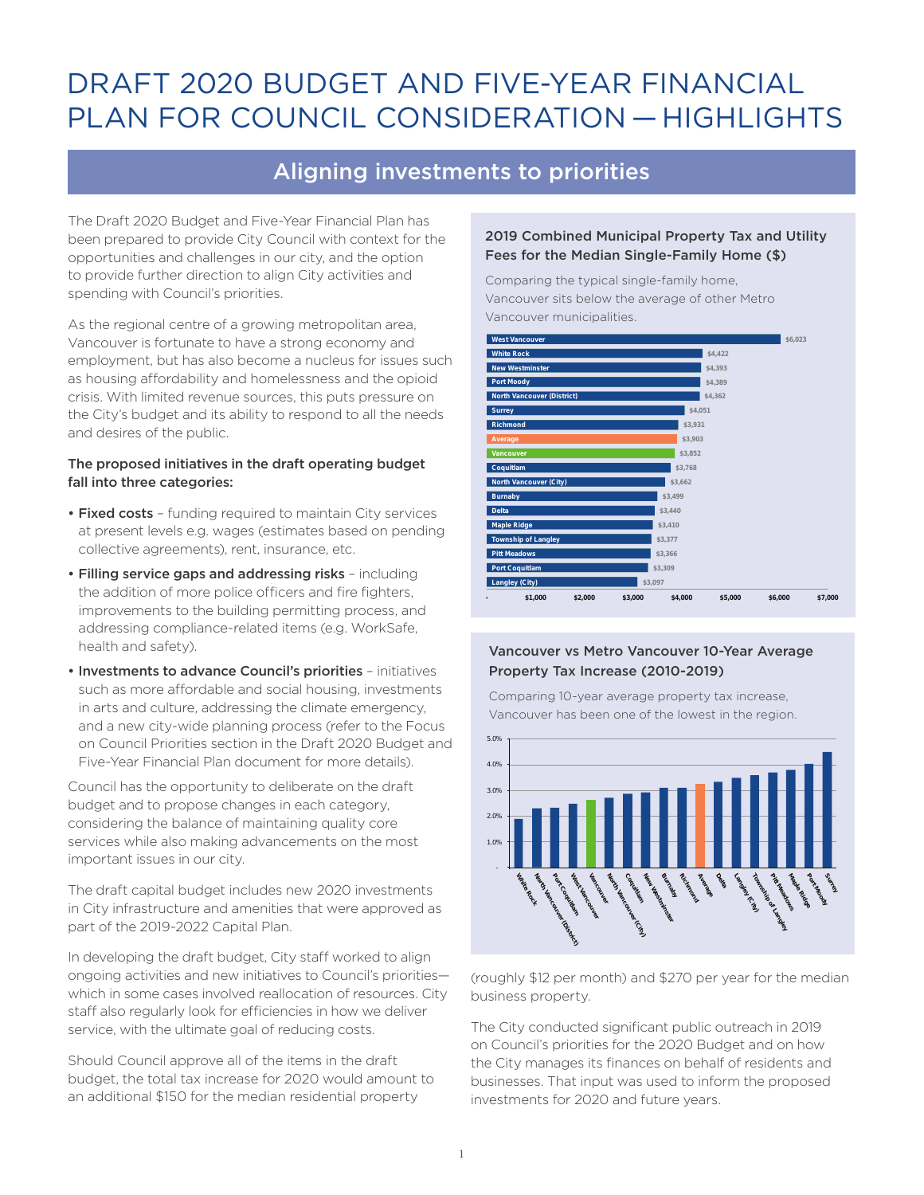# DRAFT 2020 BUDGET AND FIVE-YEAR FINANCIAL PLAN FOR COUNCIL CONSIDERATION — HIGHLIGHTS

## Aligning investments to priorities

The Draft 2020 Budget and Five-Year Financial Plan has been prepared to provide City Council with context for the opportunities and challenges in our city, and the option to provide further direction to align City activities and spending with Council's priorities.

As the regional centre of a growing metropolitan area, Vancouver is fortunate to have a strong economy and employment, but has also become a nucleus for issues such as housing affordability and homelessness and the opioid crisis. With limited revenue sources, this puts pressure on the City's budget and its ability to respond to all the needs and desires of the public.

## The proposed initiatives in the draft operating budget fall into three categories:

- Fixed costs funding required to maintain City services at present levels e.g. wages (estimates based on pending collective agreements), rent, insurance, etc.
- Filling service gaps and addressing risks including the addition of more police officers and fire fighters, improvements to the building permitting process, and addressing compliance-related items (e.g. WorkSafe, health and safety).
- Investments to advance Council's priorities initiatives such as more affordable and social housing, investments in arts and culture, addressing the climate emergency, and a new city-wide planning process (refer to the Focus on Council Priorities section in the Draft 2020 Budget and Five-Year Financial Plan document for more details).

Council has the opportunity to deliberate on the draft budget and to propose changes in each category, considering the balance of maintaining quality core services while also making advancements on the most important issues in our city.

The draft capital budget includes new 2020 investments in City infrastructure and amenities that were approved as part of the 2019-2022 Capital Plan.

In developing the draft budget, City staff worked to align ongoing activities and new initiatives to Council's priorities which in some cases involved reallocation of resources. City staff also regularly look for efficiencies in how we deliver service, with the ultimate goal of reducing costs.

Should Council approve all of the items in the draft budget, the total tax increase for 2020 would amount to an additional \$150 for the median residential property

### 2019 Combined Municipal Property Tax and Utility Fees for the Median Single-Family Home (\$)

Comparing the typical single-family home, Vancouver sits below the average of other Metro Vancouver municipalities.



## Vancouver vs Metro Vancouver 10-Year Average Property Tax Increase (2010-2019)

Comparing 10-year average property tax increase, Vancouver has been one of the lowest in the region.



(roughly \$12 per month) and \$270 per year for the median business property.

The City conducted significant public outreach in 2019 on Council's priorities for the 2020 Budget and on how the City manages its finances on behalf of residents and businesses. That input was used to inform the proposed investments for 2020 and future years.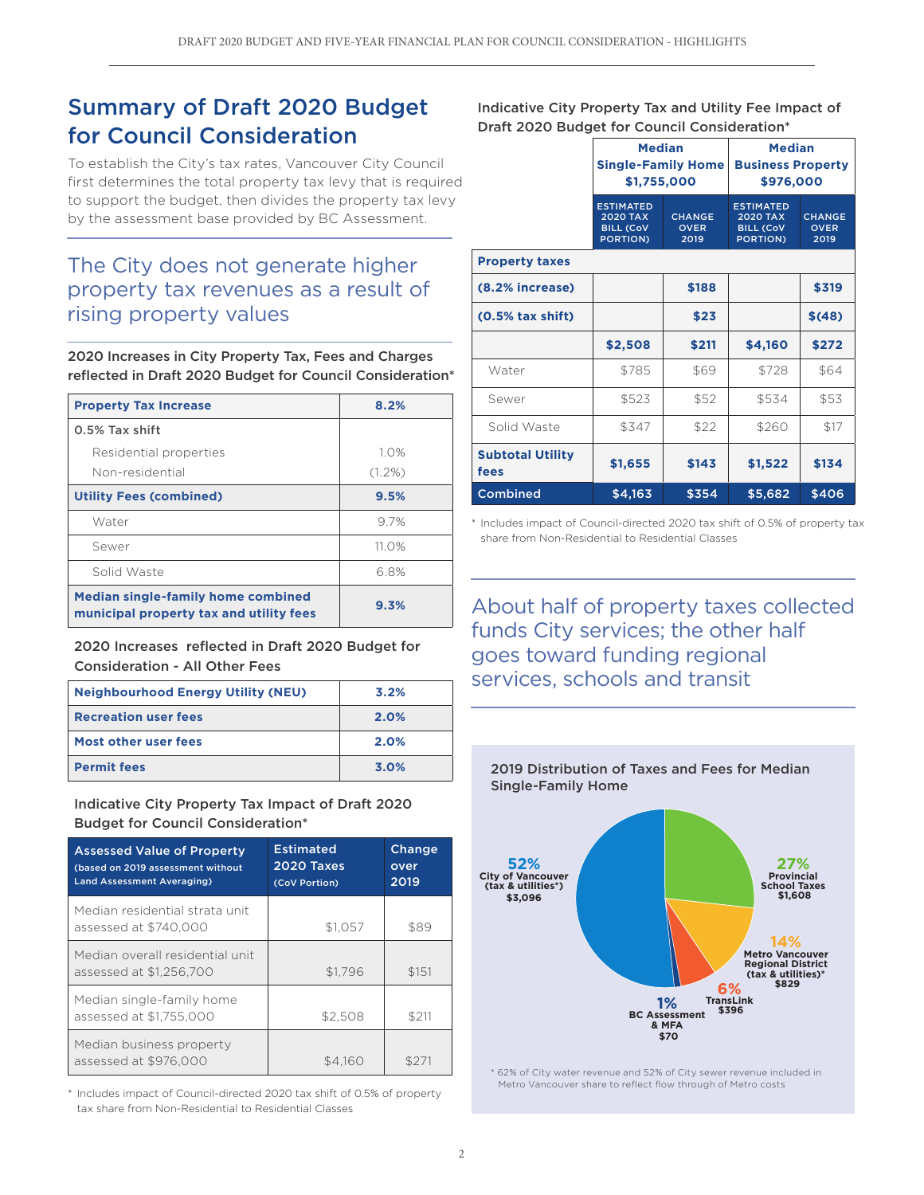## Summary of Draft 2020 Budget for Council Consideration

To establish the City's tax rates, Vancouver City Council first determines the total property tax levy that is required to support the budget, then divides the property tax levy by the assessment base provided by BC Assessment.

## The City does not generate higher property tax revenues as a result of rising property values

2020 Increases in City Property Tax, Fees and Charges reflected in Draft 2020 Budget for Council Consideration\*

| <b>Property Tax Increase</b>                                                         | 8.2%      |
|--------------------------------------------------------------------------------------|-----------|
| 0.5% Tax shift                                                                       |           |
| Residential properties                                                               | 1.0%      |
| Non-residential                                                                      | $(1.2\%)$ |
| <b>Utility Fees (combined)</b>                                                       | 9.5%      |
| Water                                                                                | 9.7%      |
| Sewer                                                                                | $11.0\%$  |
| Solid Waste                                                                          | 6.8%      |
| <b>Median single-family home combined</b><br>municipal property tax and utility fees | 9.3%      |

2020 Increases reflected in Draft 2020 Budget for Consideration - All Other Fees

| <b>Neighbourhood Energy Utility (NEU)</b> | 3.2% |
|-------------------------------------------|------|
| <b>Recreation user fees</b>               | 2.0% |
| Most other user fees                      | 2.0% |
| <b>Permit fees</b>                        | 3.0% |

Indicative City Property Tax Impact of Draft 2020 Budget for Council Consideration\*

| <b>Assessed Value of Property</b><br>(based on 2019 assessment without<br><b>Land Assessment Averaging)</b> | <b>Estimated</b><br>2020 Taxes<br>(CoV Portion) | Change<br>over<br>2019 |
|-------------------------------------------------------------------------------------------------------------|-------------------------------------------------|------------------------|
| Median residential strata unit<br>assessed at \$740,000                                                     | \$1.057                                         | \$89                   |
| Median overall residential unit<br>assessed at \$1.256.700                                                  | \$1.796                                         | \$151                  |
| Median single-family home<br>assessed at \$1,755,000                                                        | \$2,508                                         | \$211                  |
| Median business property<br>assessed at \$976,000                                                           | \$4.160                                         |                        |

\* Includes impact of Council-directed 2020 tax shift of 0.5% of property tax share from Non-Residential to Residential Classes

Indicative City Property Tax and Utility Fee Impact of Draft 2020 Budget for Council Consideration\*

|                                 | <b>Median</b><br><b>Single-Family Home</b><br>\$1,755,000                  |                                      | <b>Median</b><br><b>Business Property</b><br>\$976,000                     |                                      |
|---------------------------------|----------------------------------------------------------------------------|--------------------------------------|----------------------------------------------------------------------------|--------------------------------------|
|                                 | <b>ESTIMATED</b><br><b>2020 TAX</b><br><b>BILL (CoV</b><br><b>PORTION)</b> | <b>CHANGE</b><br><b>OVER</b><br>2019 | <b>ESTIMATED</b><br><b>2020 TAX</b><br><b>BILL (CoV</b><br><b>PORTION)</b> | <b>CHANGE</b><br><b>OVER</b><br>2019 |
| <b>Property taxes</b>           |                                                                            |                                      |                                                                            |                                      |
| (8.2% increase)                 | \$188                                                                      |                                      |                                                                            | \$319                                |
| $(0.5%$ tax shift)              |                                                                            | \$23                                 |                                                                            | \$(48)                               |
|                                 | \$2,508                                                                    | \$211                                | \$4,160                                                                    | \$272                                |
| Water                           | \$785                                                                      | \$69                                 | \$728                                                                      | \$64                                 |
| Sewer                           | \$523                                                                      | \$52                                 | \$534                                                                      | \$53                                 |
| Solid Waste                     | \$347                                                                      | \$22                                 | \$260                                                                      | \$17                                 |
| <b>Subtotal Utility</b><br>fees | \$1,655                                                                    | \$143                                | \$1,522                                                                    | \$134                                |
| <b>Combined</b>                 | \$4,163<br>\$354                                                           |                                      | \$5,682                                                                    | \$406                                |

\* Includes impact of Council-directed 2020 tax shift of 0.5% of property tax share from Non-Residential to Residential Classes

About half of property taxes collected funds City services; the other half goes toward funding regional services, schools and transit



\* 62% of City water revenue and 52% of City sewer revenue included in Metro Vancouver share to reflect flow through of Metro costs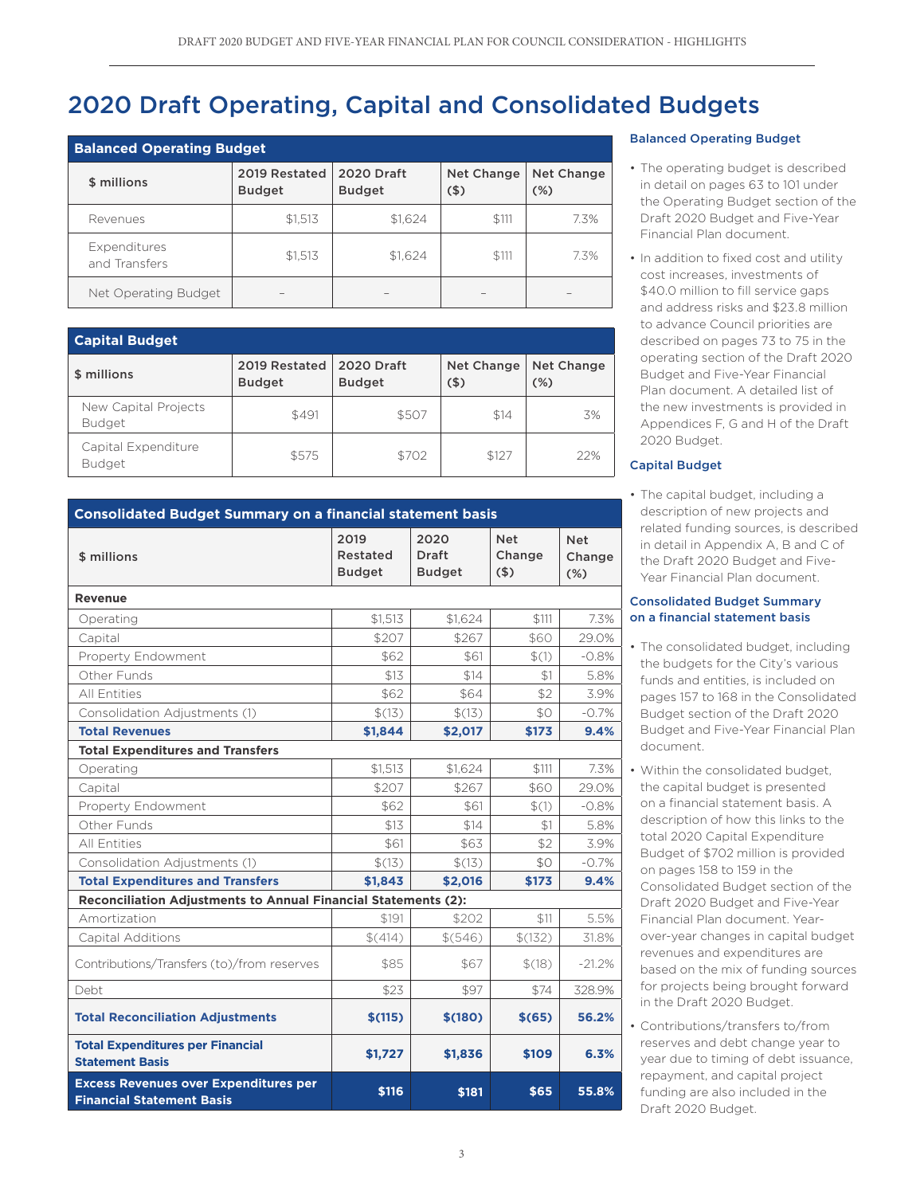# 2020 Draft Operating, Capital and Consolidated Budgets

| <b>Balanced Operating Budget</b> |                                |                                    |                              |                   |  |
|----------------------------------|--------------------------------|------------------------------------|------------------------------|-------------------|--|
| \$ millions                      | 2019 Restated<br><b>Budget</b> | <b>2020 Draft</b><br><b>Budget</b> | <b>Net Change</b><br>$($ \$) | Net Change<br>(%) |  |
| Revenues                         | \$1,513                        | \$1,624                            | \$111                        | 7.3%              |  |
| Expenditures<br>and Transfers    | \$1,513                        | \$1.624                            | \$111                        | 7.3%              |  |
| Net Operating Budget             |                                |                                    |                              |                   |  |

| <b>Capital Budget</b>                 |                                |                                    |                       |                      |  |
|---------------------------------------|--------------------------------|------------------------------------|-----------------------|----------------------|--|
| \$ millions                           | 2019 Restated<br><b>Budget</b> | <b>2020 Draft</b><br><b>Budget</b> | Net Change<br>$($ \$) | Net Change<br>$(\%)$ |  |
| New Capital Projects<br><b>Budget</b> | \$491                          | \$507                              | \$14                  | 3%                   |  |
| Capital Expenditure<br><b>Budget</b>  | \$575                          | \$702                              | \$127                 | 22%                  |  |

| <b>Consolidated Budget Summary on a financial statement basis</b>                |               |               |            |            |  |
|----------------------------------------------------------------------------------|---------------|---------------|------------|------------|--|
|                                                                                  | 2019          | 2020          | <b>Net</b> | <b>Net</b> |  |
| \$ millions                                                                      | Restated      | Draft         | Change     | Change     |  |
|                                                                                  | <b>Budget</b> | <b>Budget</b> | (5)        | $(\%)$     |  |
| Revenue                                                                          |               |               |            |            |  |
| Operating                                                                        | \$1,513       | \$1.624       | \$111      | 7.3%       |  |
| Capital                                                                          | \$207         | \$267         | \$60       | 29.0%      |  |
| Property Endowment                                                               | \$62          | \$61          | \$(1)      | $-0.8%$    |  |
| Other Funds                                                                      | \$13          | \$14          | \$1        | 5.8%       |  |
| <b>All Entities</b>                                                              | \$62          | \$64          | \$2        | 3.9%       |  |
| Consolidation Adjustments (1)                                                    | \$(13)        | \$(13)        | \$0        | $-0.7\%$   |  |
| <b>Total Revenues</b>                                                            | \$1,844       | \$2,017       | \$173      | 9.4%       |  |
| <b>Total Expenditures and Transfers</b>                                          |               |               |            |            |  |
| Operating                                                                        | \$1,513       | \$1,624       | \$111      | 7.3%       |  |
| Capital                                                                          | \$207         | \$267         | \$60       | 29.0%      |  |
| Property Endowment                                                               | \$62          | \$61          | \$(1)      | $-0.8%$    |  |
| Other Funds                                                                      | \$13          | \$14          | \$1        | 5.8%       |  |
| <b>All Entities</b>                                                              | \$61          | \$63          | \$2        | 3.9%       |  |
| Consolidation Adjustments (1)                                                    | \$(13)        | \$(13)        | \$0        | $-0.7%$    |  |
| <b>Total Expenditures and Transfers</b>                                          | \$1,843       | \$2,016       | \$173      | 9.4%       |  |
| Reconciliation Adjustments to Annual Financial Statements (2):                   |               |               |            |            |  |
| Amortization                                                                     | \$191         | \$202         | \$11       | 5.5%       |  |
| <b>Capital Additions</b>                                                         | \$(414)       | \$(546)       | \$(132)    | 31.8%      |  |
| Contributions/Transfers (to)/from reserves                                       | \$85          | \$67          | \$(18)     | $-21.2%$   |  |
| Debt                                                                             | \$23          | \$97          | \$74       | 328.9%     |  |
| <b>Total Reconciliation Adjustments</b>                                          | \$(115)       | \$(180)       | \$(65)     | 56.2%      |  |
| <b>Total Expenditures per Financial</b><br><b>Statement Basis</b>                | \$1,727       | \$1,836       | \$109      | 6.3%       |  |
| <b>Excess Revenues over Expenditures per</b><br><b>Financial Statement Basis</b> | \$116         | \$181         | \$65       | 55.8%      |  |

#### Balanced Operating Budget

- The operating budget is described in detail on pages 63 to 101 under the Operating Budget section of the Draft 2020 Budget and Five-Year Financial Plan document.
- In addition to fixed cost and utility cost increases, investments of \$40.0 million to fill service gaps and address risks and \$23.8 million to advance Council priorities are described on pages 73 to 75 in the operating section of the Draft 2020 Budget and Five-Year Financial Plan document. A detailed list of the new investments is provided in Appendices F, G and H of the Draft 2020 Budget.

### Capital Budget

• The capital budget, including a description of new projects and related funding sources, is described in detail in Appendix A, B and C of the Draft 2020 Budget and Five-Year Financial Plan document.

#### Consolidated Budget Summary on a financial statement basis

- The consolidated budget, including the budgets for the City's various funds and entities, is included on pages 157 to 168 in the Consolidated Budget section of the Draft 2020 Budget and Five-Year Financial Plan document.
- Within the consolidated budget, the capital budget is presented on a financial statement basis. A description of how this links to the total 2020 Capital Expenditure Budget of \$702 million is provided on pages 158 to 159 in the Consolidated Budget section of the Draft 2020 Budget and Five-Year Financial Plan document. Yearover-year changes in capital budget revenues and expenditures are based on the mix of funding sources for projects being brought forward in the Draft 2020 Budget.
- Contributions/transfers to/from reserves and debt change year to year due to timing of debt issuance, repayment, and capital project funding are also included in the Draft 2020 Budget.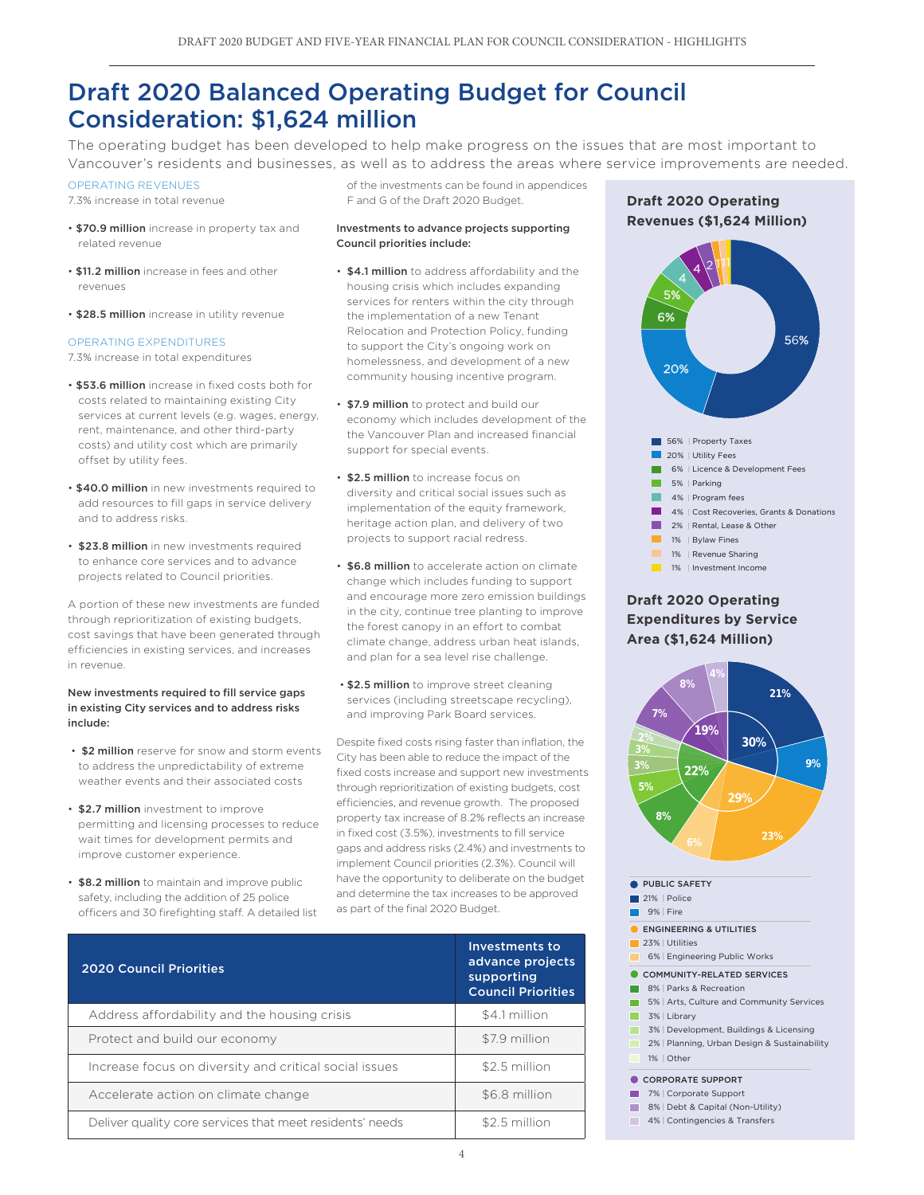## Draft 2020 Balanced Operating Budget for Council Consideration: \$1,624 million

The operating budget has been developed to help make progress on the issues that are most important to Vancouver's residents and businesses, as well as to address the areas where service improvements are needed.

#### OPERATING REVENUES

7.3% increase in total revenue

- \$70.9 million increase in property tax and related revenue
- \$11.2 million increase in fees and other revenues
- \$28.5 million increase in utility revenue

#### OPERATING EXPENDITURES

7.3% increase in total expenditures

- \$53.6 million increase in fixed costs both for costs related to maintaining existing City services at current levels (e.g. wages, energy, rent, maintenance, and other third-party costs) and utility cost which are primarily offset by utility fees.
- \$40.0 million in new investments required to add resources to fill gaps in service delivery and to address risks.
- \$23.8 million in new investments required to enhance core services and to advance projects related to Council priorities.

A portion of these new investments are funded through reprioritization of existing budgets, cost savings that have been generated through efficiencies in existing services, and increases in revenue.

#### New investments required to fill service gaps in existing City services and to address risks include:

- \$2 million reserve for snow and storm events to address the unpredictability of extreme weather events and their associated costs
- \$2.7 million investment to improve permitting and licensing processes to reduce wait times for development permits and improve customer experience.
- \$8.2 million to maintain and improve public safety, including the addition of 25 police officers and 30 firefighting staff. A detailed list

of the investments can be found in appendices F and G of the Draft 2020 Budget.

#### Investments to advance projects supporting Council priorities include:

- \$4.1 million to address affordability and the housing crisis which includes expanding services for renters within the city through the implementation of a new Tenant Relocation and Protection Policy, funding to support the City's ongoing work on homelessness, and development of a new community housing incentive program.
- \$7.9 million to protect and build our economy which includes development of the the Vancouver Plan and increased financial support for special events. (\$11.7 M)
- \$2.5 million to increase focus on diversity and critical social issues such as implementation of the equity framework, heritage action plan, and delivery of two projects to support racial redress.
- \$6.8 million to accelerate action on climate change which includes funding to support and encourage more zero emission buildings in the city, continue tree planting to improve the forest canopy in an effort to combat climate change, address urban heat islands, and plan for a sea level rise challenge.
- \$2.5 million to improve street cleaning services (including streetscape recycling), and improving Park Board services.

Despite fixed costs rising faster than inflation, the City has been able to reduce the impact of the fixed costs increase and support new investments through reprioritization of existing budgets, cost efficiencies, and revenue growth. The proposed property tax increase of 8.2% reflects an increase in fixed cost (3.5%), investments to fill service gaps and address risks (2.4%) and investments to implement Council priorities (2.3%). Council will have the opportunity to deliberate on the budget and determine the tax increases to be approved as part of the final 2020 Budget.

| <b>2020 Council Priorities</b>                           | Investments to<br>advance projects<br>supporting<br><b>Council Priorities</b> |
|----------------------------------------------------------|-------------------------------------------------------------------------------|
| Address affordability and the housing crisis             | \$4.1 million                                                                 |
| Protect and build our economy                            | \$7.9 million                                                                 |
| Increase focus on diversity and critical social issues   | \$2.5 million                                                                 |
| Accelerate action on climate change                      | \$6.8 million                                                                 |
| Deliver quality core services that meet residents' needs | \$2.5 million                                                                 |





## **Draft 2020 Operating Expenditures by Service Area (\$1,624 Million)**



- 8% | Debt & Capital (Non-Utility) m.
- 4% | Contingencies & Transfers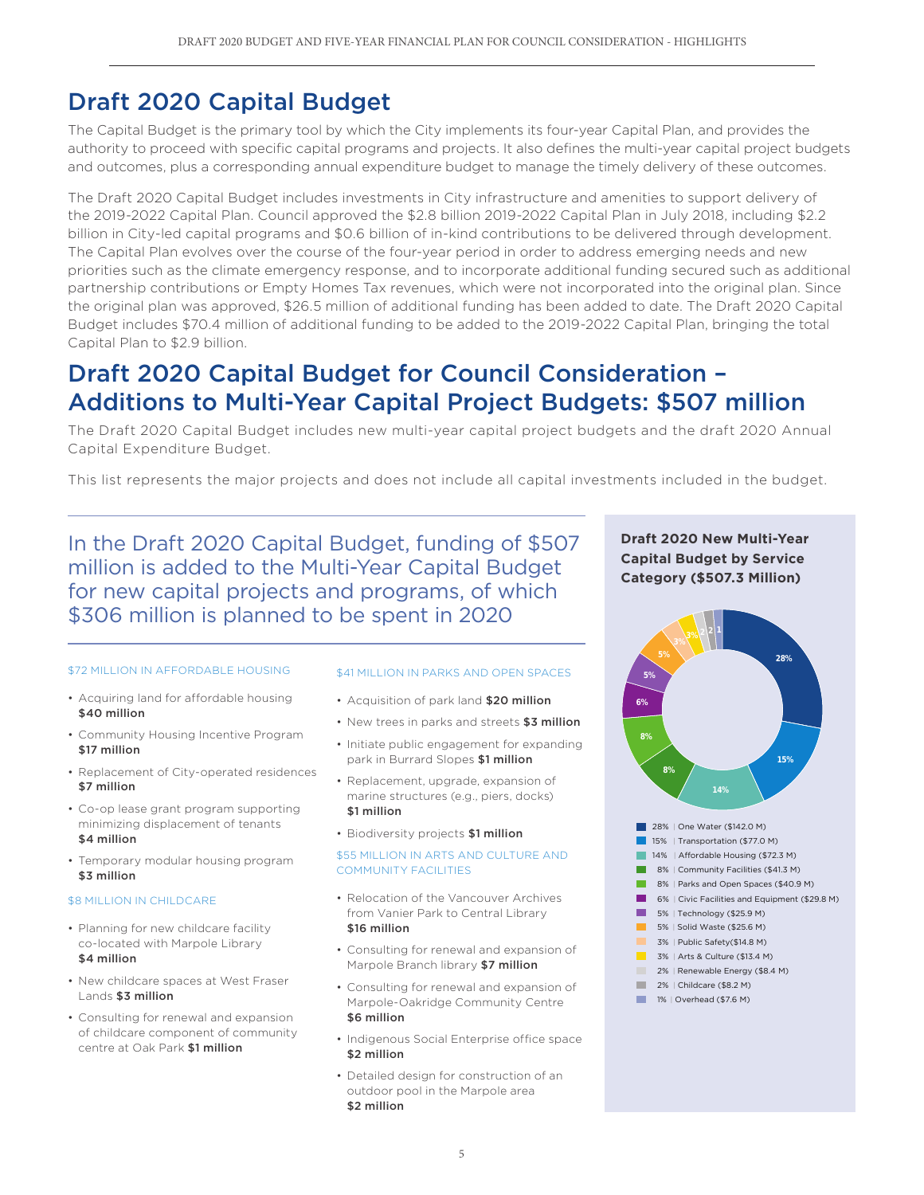## Draft 2020 Capital Budget

The Capital Budget is the primary tool by which the City implements its four-year Capital Plan, and provides the authority to proceed with specific capital programs and projects. It also defines the multi-year capital project budgets and outcomes, plus a corresponding annual expenditure budget to manage the timely delivery of these outcomes.

The Draft 2020 Capital Budget includes investments in City infrastructure and amenities to support delivery of the 2019-2022 Capital Plan. Council approved the \$2.8 billion 2019-2022 Capital Plan in July 2018, including \$2.2 billion in City-led capital programs and \$0.6 billion of in-kind contributions to be delivered through development. The Capital Plan evolves over the course of the four-year period in order to address emerging needs and new priorities such as the climate emergency response, and to incorporate additional funding secured such as additional partnership contributions or Empty Homes Tax revenues, which were not incorporated into the original plan. Since the original plan was approved, \$26.5 million of additional funding has been added to date. The Draft 2020 Capital Budget includes \$70.4 million of additional funding to be added to the 2019-2022 Capital Plan, bringing the total Capital Plan to \$2.9 billion.

## Draft 2020 Capital Budget for Council Consideration – Additions to Multi-Year Capital Project Budgets: \$507 million

The Draft 2020 Capital Budget includes new multi-year capital project budgets and the draft 2020 Annual Capital Expenditure Budget.

This list represents the major projects and does not include all capital investments included in the budget.

In the Draft 2020 Capital Budget, funding of \$507 million is added to the Multi-Year Capital Budget for new capital projects and programs, of which \$306 million is planned to be spent in 2020

#### \$72 MILLION IN AFFORDABLE HOUSING

- Acquiring land for affordable housing \$40 million
- Community Housing Incentive Program \$17 million
- Replacement of City-operated residences \$7 million
- Co-op lease grant program supporting minimizing displacement of tenants \$4 million
- Temporary modular housing program \$3 million

#### **\$8 MILLION IN CHILDCARE**

- Planning for new childcare facility co-located with Marpole Library \$4 million
- New childcare spaces at West Fraser Lands \$3 million
- Consulting for renewal and expansion of childcare component of community centre at Oak Park \$1 million

#### \$41 MILLION IN PARKS AND OPEN SPACES

- Acquisition of park land \$20 million
- New trees in parks and streets \$3 million
- Initiate public engagement for expanding park in Burrard Slopes \$1 million
- Replacement, upgrade, expansion of marine structures (e.g., piers, docks) \$1 million
- Biodiversity projects \$1 million

#### \$55 MILLION IN ARTS AND CULTURE AND COMMUNITY FACILITIES

- Relocation of the Vancouver Archives from Vanier Park to Central Library \$16 million
- Consulting for renewal and expansion of Marpole Branch library \$7 million
- Consulting for renewal and expansion of Marpole-Oakridge Community Centre \$6 million
- Indigenous Social Enterprise office space \$2 million
- Detailed design for construction of an outdoor pool in the Marpole area \$2 million



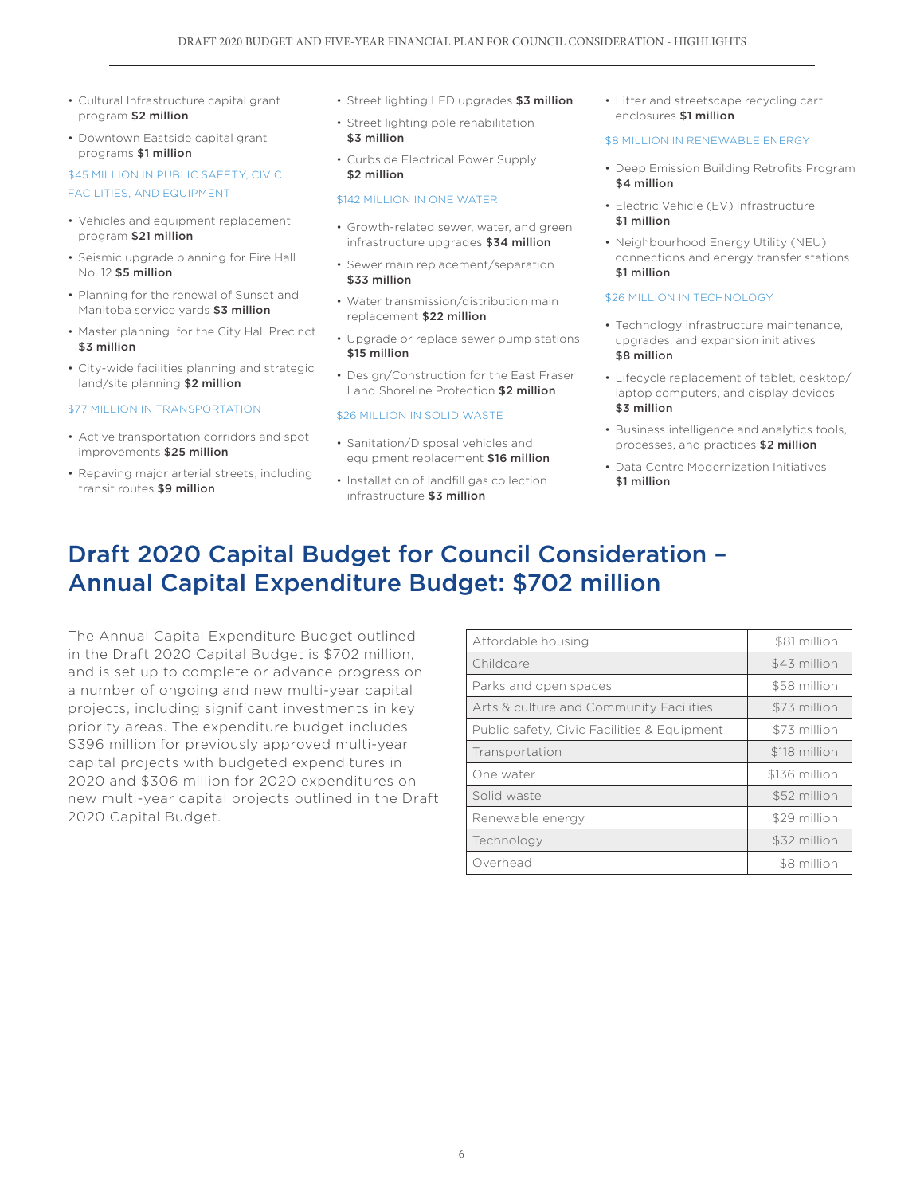- Cultural Infrastructure capital grant program \$2 million
- Downtown Eastside capital grant programs \$1 million

### \$45 MILLION IN PUBLIC SAFETY, CIVIC FACILITIES, AND EQUIPMENT

- Vehicles and equipment replacement program \$21 million
- Seismic upgrade planning for Fire Hall No. 12 \$5 million
- Planning for the renewal of Sunset and Manitoba service yards \$3 million
- Master planning for the City Hall Precinct \$3 million
- City-wide facilities planning and strategic land/site planning \$2 million

#### \$77 MILLION IN TRANSPORTATION

- Active transportation corridors and spot improvements \$25 million
- Repaving major arterial streets, including transit routes \$9 million
- Street lighting LED upgrades \$3 million
- Street lighting pole rehabilitation \$3 million
- Curbside Electrical Power Supply \$2 million

#### \$142 MILLION IN ONE WATER

- Growth-related sewer, water, and green infrastructure upgrades \$34 million
- Sewer main replacement/separation \$33 million
- Water transmission/distribution main replacement \$22 million
- Upgrade or replace sewer pump stations \$15 million
- Design/Construction for the East Fraser Land Shoreline Protection \$2 million

#### \$26 MILLION IN SOLID WASTE

- Sanitation/Disposal vehicles and equipment replacement \$16 million
- Installation of landfill gas collection infrastructure \$3 million

• Litter and streetscape recycling cart enclosures \$1 million

#### **\$8 MILLION IN RENEWABLE ENERGY**

- Deep Emission Building Retrofits Program \$4 million
- Electric Vehicle (EV) Infrastructure \$1 million
- Neighbourhood Energy Utility (NEU) connections and energy transfer stations \$1 million

#### \$26 MILLION IN TECHNOLOGY

- Technology infrastructure maintenance, upgrades, and expansion initiatives \$8 million
- Lifecycle replacement of tablet, desktop/ laptop computers, and display devices \$3 million
- Business intelligence and analytics tools, processes, and practices \$2 million
- Data Centre Modernization Initiatives \$1 million

## Draft 2020 Capital Budget for Council Consideration – Annual Capital Expenditure Budget: \$702 million

The Annual Capital Expenditure Budget outlined in the Draft 2020 Capital Budget is \$702 million, and is set up to complete or advance progress on a number of ongoing and new multi-year capital projects, including significant investments in key priority areas. The expenditure budget includes \$396 million for previously approved multi-year capital projects with budgeted expenditures in 2020 and \$306 million for 2020 expenditures on new multi-year capital projects outlined in the Draft 2020 Capital Budget.

| Affordable housing                          | \$81 million  |
|---------------------------------------------|---------------|
| Childcare                                   | \$43 million  |
| Parks and open spaces                       | \$58 million  |
| Arts & culture and Community Facilities     | \$73 million  |
| Public safety, Civic Facilities & Equipment | \$73 million  |
| Transportation                              | \$118 million |
| One water                                   | \$136 million |
| Solid waste                                 | \$52 million  |
| Renewable energy                            | \$29 million  |
| Technology                                  | \$32 million  |
| Overhead                                    | \$8 million   |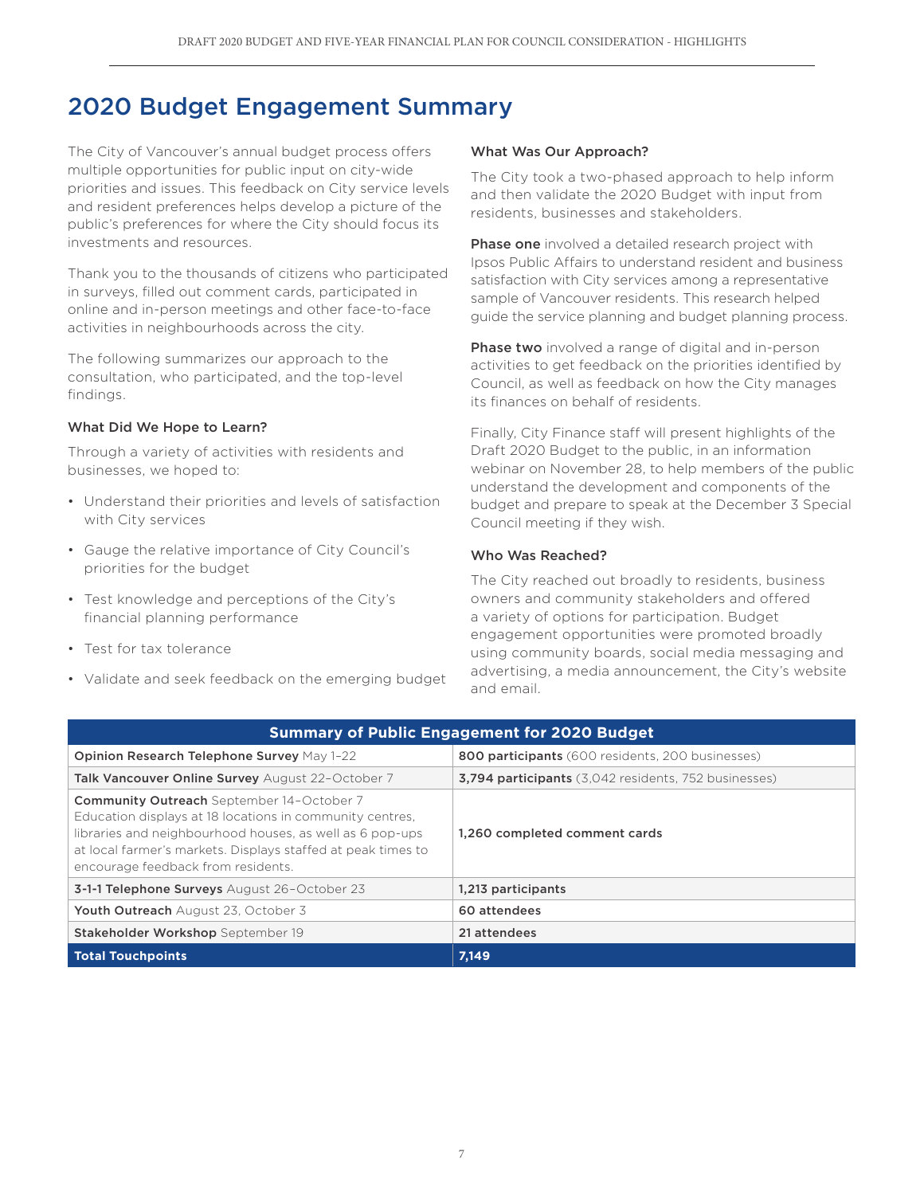## 2020 Budget Engagement Summary

The City of Vancouver's annual budget process offers multiple opportunities for public input on city-wide priorities and issues. This feedback on City service levels and resident preferences helps develop a picture of the public's preferences for where the City should focus its investments and resources.

Thank you to the thousands of citizens who participated in surveys, filled out comment cards, participated in online and in-person meetings and other face-to-face activities in neighbourhoods across the city.

The following summarizes our approach to the consultation, who participated, and the top-level findings.

### What Did We Hope to Learn?

Through a variety of activities with residents and businesses, we hoped to:

- Understand their priorities and levels of satisfaction with City services
- Gauge the relative importance of City Council's priorities for the budget
- Test knowledge and perceptions of the City's financial planning performance
- Test for tax tolerance
- Validate and seek feedback on the emerging budget

### What Was Our Approach?

The City took a two-phased approach to help inform and then validate the 2020 Budget with input from residents, businesses and stakeholders.

**Phase one** involved a detailed research project with Ipsos Public Affairs to understand resident and business satisfaction with City services among a representative sample of Vancouver residents. This research helped guide the service planning and budget planning process.

Phase two involved a range of digital and in-person activities to get feedback on the priorities identified by Council, as well as feedback on how the City manages its finances on behalf of residents.

Finally, City Finance staff will present highlights of the Draft 2020 Budget to the public, in an information webinar on November 28, to help members of the public understand the development and components of the budget and prepare to speak at the December 3 Special Council meeting if they wish.

## Who Was Reached?

The City reached out broadly to residents, business owners and community stakeholders and offered a variety of options for participation. Budget engagement opportunities were promoted broadly using community boards, social media messaging and advertising, a media announcement, the City's website and email.

| <b>Summary of Public Engagement for 2020 Budget</b>                                                                                                                                                                                                                            |                                                             |  |  |  |
|--------------------------------------------------------------------------------------------------------------------------------------------------------------------------------------------------------------------------------------------------------------------------------|-------------------------------------------------------------|--|--|--|
| Opinion Research Telephone Survey May 1-22                                                                                                                                                                                                                                     | 800 participants (600 residents, 200 businesses)            |  |  |  |
| <b>Talk Vancouver Online Survey</b> August 22-October 7                                                                                                                                                                                                                        | <b>3,794 participants</b> (3,042 residents, 752 businesses) |  |  |  |
| <b>Community Outreach</b> September 14-October 7<br>Education displays at 18 locations in community centres,<br>libraries and neighbourhood houses, as well as 6 pop-ups<br>at local farmer's markets. Displays staffed at peak times to<br>encourage feedback from residents. | 1,260 completed comment cards                               |  |  |  |
| 3-1-1 Telephone Surveys August 26-October 23                                                                                                                                                                                                                                   | 1,213 participants                                          |  |  |  |
| Youth Outreach August 23, October 3                                                                                                                                                                                                                                            | 60 attendees                                                |  |  |  |
| Stakeholder Workshop September 19                                                                                                                                                                                                                                              | 21 attendees                                                |  |  |  |
| <b>Total Touchpoints</b>                                                                                                                                                                                                                                                       | 7,149                                                       |  |  |  |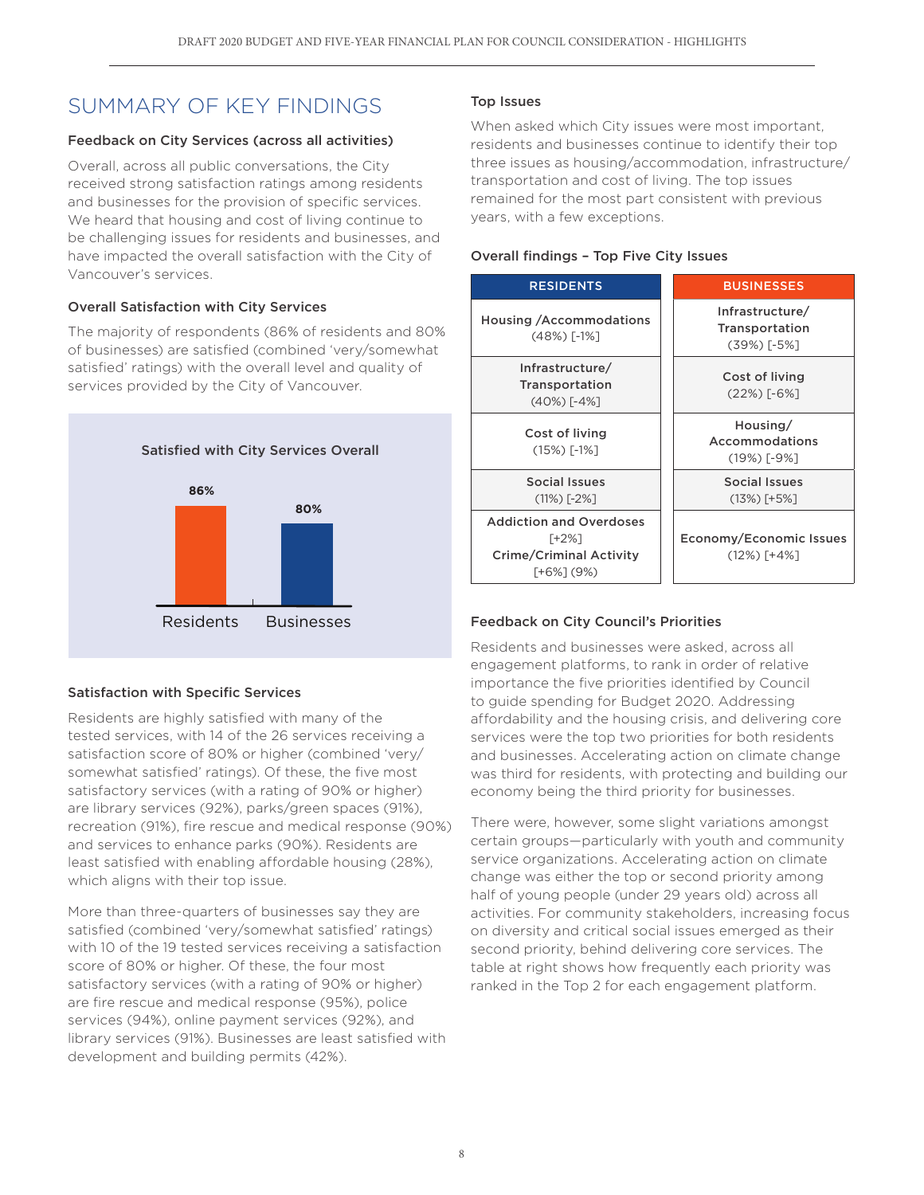## SUMMARY OF KEY FINDINGS

## Feedback on City Services (across all activities)

Overall, across all public conversations, the City received strong satisfaction ratings among residents and businesses for the provision of specific services. We heard that housing and cost of living continue to be challenging issues for residents and businesses, and have impacted the overall satisfaction with the City of Vancouver's services.

## Overall Satisfaction with City Services

The majority of respondents (86% of residents and 80% of businesses) are satisfied (combined 'very/somewhat satisfied' ratings) with the overall level and quality of services provided by the City of Vancouver.



## Satisfaction with Specific Services

Residents are highly satisfied with many of the tested services, with 14 of the 26 services receiving a satisfaction score of 80% or higher (combined 'very/ somewhat satisfied' ratings). Of these, the five most satisfactory services (with a rating of 90% or higher) are library services (92%), parks/green spaces (91%), recreation (91%), fire rescue and medical response (90%) and services to enhance parks (90%). Residents are least satisfied with enabling affordable housing (28%), which aligns with their top issue.

More than three-quarters of businesses say they are satisfied (combined 'very/somewhat satisfied' ratings) with 10 of the 19 tested services receiving a satisfaction score of 80% or higher. Of these, the four most satisfactory services (with a rating of 90% or higher) are fire rescue and medical response (95%), police services (94%), online payment services (92%), and library services (91%). Businesses are least satisfied with development and building permits (42%).

## Top Issues

When asked which City issues were most important, residents and businesses continue to identify their top three issues as housing/accommodation, infrastructure/ transportation and cost of living. The top issues remained for the most part consistent with previous years, with a few exceptions.

## Overall findings – Top Five City Issues



## Feedback on City Council's Priorities

Residents and businesses were asked, across all engagement platforms, to rank in order of relative importance the five priorities identified by Council to guide spending for Budget 2020. Addressing affordability and the housing crisis, and delivering core services were the top two priorities for both residents and businesses. Accelerating action on climate change was third for residents, with protecting and building our economy being the third priority for businesses.

There were, however, some slight variations amongst certain groups—particularly with youth and community service organizations. Accelerating action on climate change was either the top or second priority among half of young people (under 29 years old) across all activities. For community stakeholders, increasing focus on diversity and critical social issues emerged as their second priority, behind delivering core services. The table at right shows how frequently each priority was ranked in the Top 2 for each engagement platform.